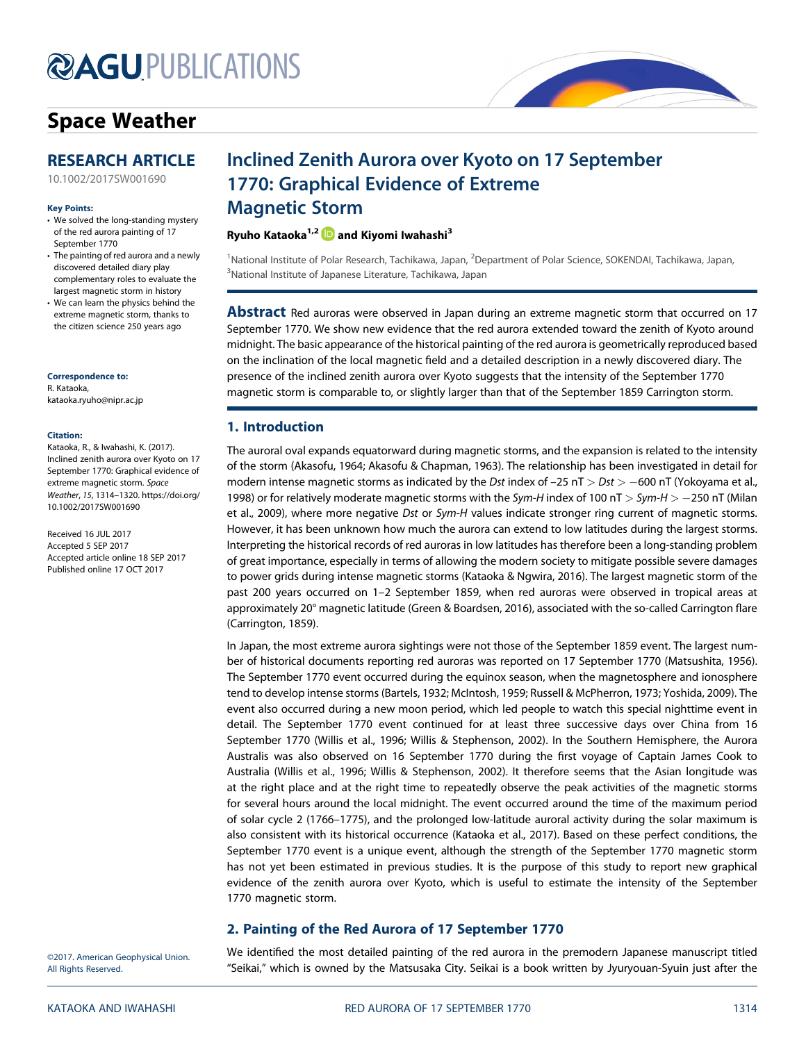# **@AGU[PUBLICATIONS](http://publications.agu.org/journals/)**

# [Space Weather](http://onlinelibrary.wiley.com/journal/10.1002/(ISSN)1542-7390)



[10.1002/2017SW001690](http://dx.doi.org/10.1002/2017SW001690)

#### Key Points:

- We solved the long-standing mystery of the red aurora painting of 17 September 1770
- The painting of red aurora and a newly discovered detailed diary play complementary roles to evaluate the largest magnetic storm in history
- We can learn the physics behind the extreme magnetic storm, thanks to the citizen science 250 years ago

Correspondence to:

R. Kataoka, [kataoka.ryuho@nipr.ac.jp](mailto:kataoka.ryuho@nipr.ac.jp)

#### Citation:

Kataoka, R., & Iwahashi, K. (2017). Inclined zenith aurora over Kyoto on 17 September 1770: Graphical evidence of extreme magnetic storm. Space Weather, 15, 1314–1320. [https://doi.org/](https://doi.org/10.1002/2017SW001690) [10.1002/2017SW001690](https://doi.org/10.1002/2017SW001690)

Received 16 JUL 2017 Accepted 5 SEP 2017 Accepted article online 18 SEP 2017 Published online 17 OCT 2017

# Inclined Zenith Aurora over Kyoto on 17 September 1770: Graphical Evidence of Extreme Magnetic Storm

### Ryuho Kataoka<sup>1,2</sup> **iD** and Kiyomi Iwahashi<sup>3</sup>

<sup>1</sup>National Institute of Polar Research, Tachikawa, Japan, <sup>2</sup>Department of Polar Science, SOKENDAI, Tachikawa, Japan, <sup>3</sup>National Institute of Japanese Literature, Tachikawa, Japan

Abstract Red auroras were observed in Japan during an extreme magnetic storm that occurred on 17 September 1770. We show new evidence that the red aurora extended toward the zenith of Kyoto around midnight. The basic appearance of the historical painting of the red aurora is geometrically reproduced based on the inclination of the local magnetic field and a detailed description in a newly discovered diary. The presence of the inclined zenith aurora over Kyoto suggests that the intensity of the September 1770 magnetic storm is comparable to, or slightly larger than that of the September 1859 Carrington storm.

## 1. Introduction

The auroral oval expands equatorward during magnetic storms, and the expansion is related to the intensity of the storm (Akasofu, 1964; Akasofu & Chapman, 1963). The relationship has been investigated in detail for modern intense magnetic storms as indicated by the Dst index of  $-25$  nT  $>$  Dst  $>$  -600 nT (Yokoyama et al., 1998) or for relatively moderate magnetic storms with the Sym-H index of 100 nT  $>$  Sym-H  $>$  -250 nT (Milan et al., 2009), where more negative Dst or Sym-H values indicate stronger ring current of magnetic storms. However, it has been unknown how much the aurora can extend to low latitudes during the largest storms. Interpreting the historical records of red auroras in low latitudes has therefore been a long-standing problem of great importance, especially in terms of allowing the modern society to mitigate possible severe damages to power grids during intense magnetic storms (Kataoka & Ngwira, 2016). The largest magnetic storm of the past 200 years occurred on 1–2 September 1859, when red auroras were observed in tropical areas at approximately 20° magnetic latitude (Green & Boardsen, 2016), associated with the so-called Carrington flare (Carrington, 1859).

In Japan, the most extreme aurora sightings were not those of the September 1859 event. The largest number of historical documents reporting red auroras was reported on 17 September 1770 (Matsushita, 1956). The September 1770 event occurred during the equinox season, when the magnetosphere and ionosphere tend to develop intense storms (Bartels, 1932; McIntosh, 1959; Russell & McPherron, 1973; Yoshida, 2009). The event also occurred during a new moon period, which led people to watch this special nighttime event in detail. The September 1770 event continued for at least three successive days over China from 16 September 1770 (Willis et al., 1996; Willis & Stephenson, 2002). In the Southern Hemisphere, the Aurora Australis was also observed on 16 September 1770 during the first voyage of Captain James Cook to Australia (Willis et al., 1996; Willis & Stephenson, 2002). It therefore seems that the Asian longitude was at the right place and at the right time to repeatedly observe the peak activities of the magnetic storms for several hours around the local midnight. The event occurred around the time of the maximum period of solar cycle 2 (1766–1775), and the prolonged low-latitude auroral activity during the solar maximum is also consistent with its historical occurrence (Kataoka et al., 2017). Based on these perfect conditions, the September 1770 event is a unique event, although the strength of the September 1770 magnetic storm has not yet been estimated in previous studies. It is the purpose of this study to report new graphical evidence of the zenith aurora over Kyoto, which is useful to estimate the intensity of the September 1770 magnetic storm.

## 2. Painting of the Red Aurora of 17 September 1770

©2017. American Geophysical Union. All Rights Reserved.

We identified the most detailed painting of the red aurora in the premodern Japanese manuscript titled "Seikai," which is owned by the Matsusaka City. Seikai is a book written by Jyuryouan-Syuin just after the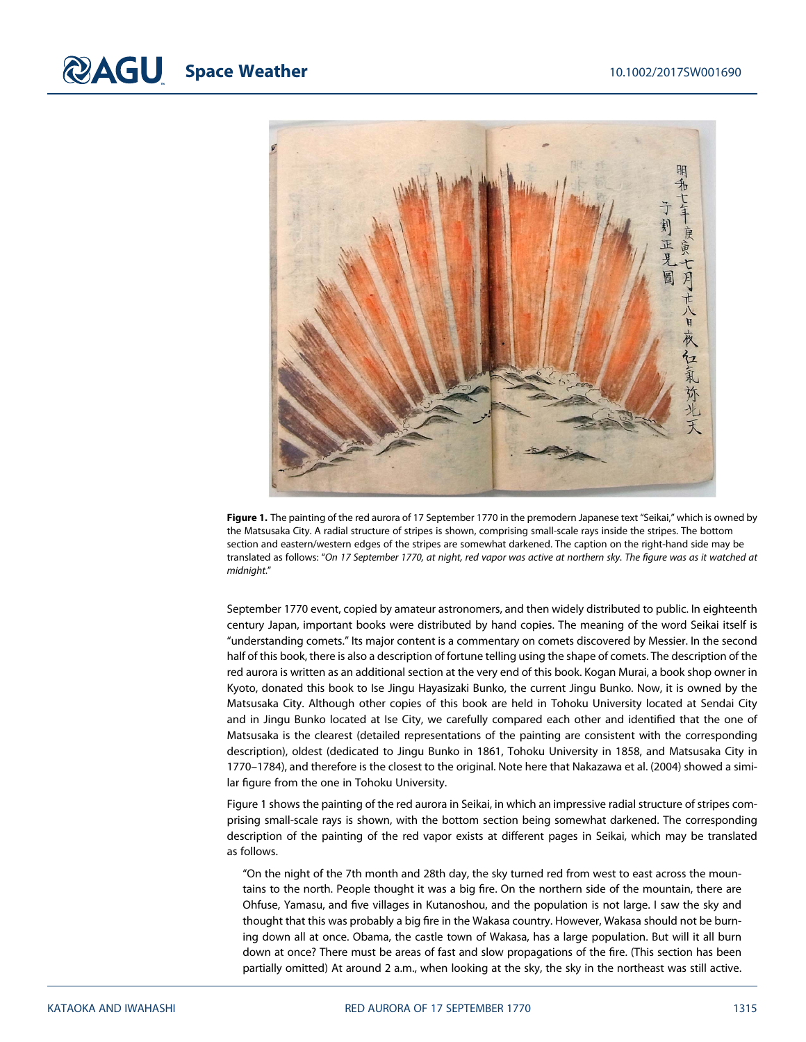

Figure 1. The painting of the red aurora of 17 September 1770 in the premodern Japanese text "Seikai," which is owned by the Matsusaka City. A radial structure of stripes is shown, comprising small-scale rays inside the stripes. The bottom section and eastern/western edges of the stripes are somewhat darkened. The caption on the right-hand side may be translated as follows: "On 17 September 1770, at night, red vapor was active at northern sky. The figure was as it watched at midnight."

September 1770 event, copied by amateur astronomers, and then widely distributed to public. In eighteenth century Japan, important books were distributed by hand copies. The meaning of the word Seikai itself is "understanding comets." Its major content is a commentary on comets discovered by Messier. In the second half of this book, there is also a description of fortune telling using the shape of comets. The description of the red aurora is written as an additional section at the very end of this book. Kogan Murai, a book shop owner in Kyoto, donated this book to Ise Jingu Hayasizaki Bunko, the current Jingu Bunko. Now, it is owned by the Matsusaka City. Although other copies of this book are held in Tohoku University located at Sendai City and in Jingu Bunko located at Ise City, we carefully compared each other and identified that the one of Matsusaka is the clearest (detailed representations of the painting are consistent with the corresponding description), oldest (dedicated to Jingu Bunko in 1861, Tohoku University in 1858, and Matsusaka City in 1770–1784), and therefore is the closest to the original. Note here that Nakazawa et al. (2004) showed a similar figure from the one in Tohoku University.

Figure 1 shows the painting of the red aurora in Seikai, in which an impressive radial structure of stripes comprising small-scale rays is shown, with the bottom section being somewhat darkened. The corresponding description of the painting of the red vapor exists at different pages in Seikai, which may be translated as follows.

"On the night of the 7th month and 28th day, the sky turned red from west to east across the mountains to the north. People thought it was a big fire. On the northern side of the mountain, there are Ohfuse, Yamasu, and five villages in Kutanoshou, and the population is not large. I saw the sky and thought that this was probably a big fire in the Wakasa country. However, Wakasa should not be burning down all at once. Obama, the castle town of Wakasa, has a large population. But will it all burn down at once? There must be areas of fast and slow propagations of the fire. (This section has been partially omitted) At around 2 a.m., when looking at the sky, the sky in the northeast was still active.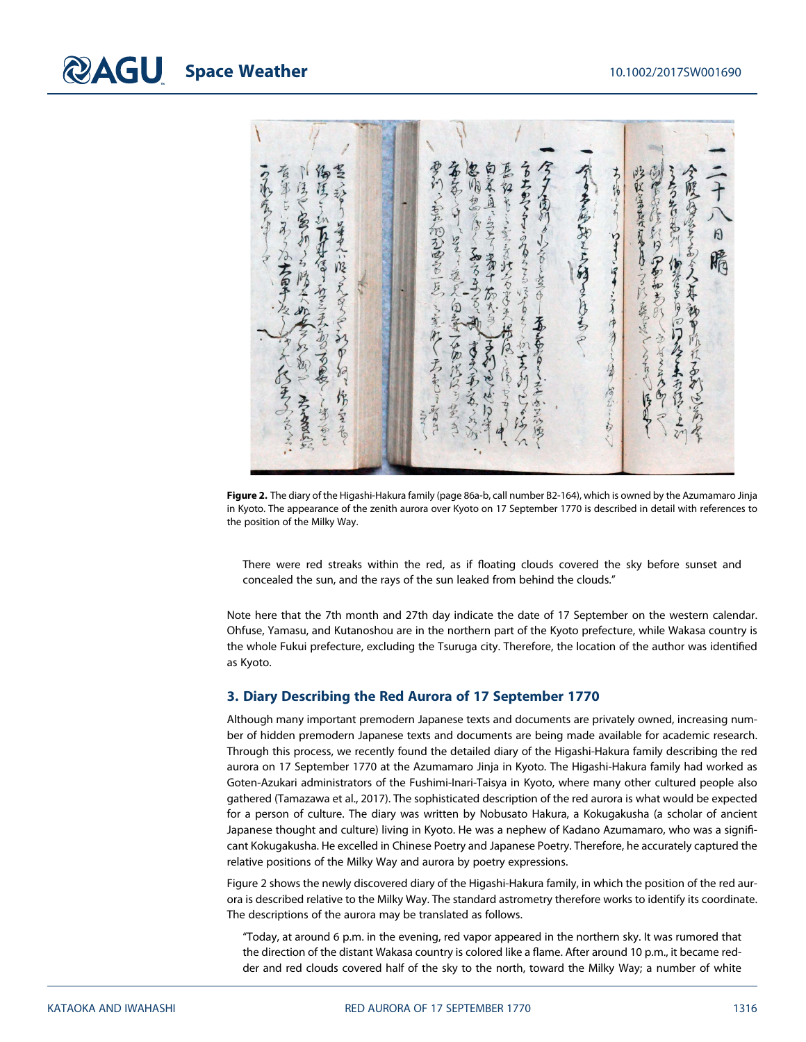ゆうい~ちゃん かってる あ 名れる ちゅうか 学校学長見はる そうそのみで  $\sqrt{2}$ これを何というかっとける きくらし のわるろこ **SPR** 「そうところん人み 一只了 そり 日 つまいぼ  $\zeta$ そるる 南和乡 とうる みんとりに たま 空 囟 客 たらそ 净 谷质 そうろう うちょ るの 省 不为得 高工 医儿 そうきに ŕ,

Figure 2. The diary of the Higashi-Hakura family (page 86a-b, call number B2-164), which is owned by the Azumamaro Jinja in Kyoto. The appearance of the zenith aurora over Kyoto on 17 September 1770 is described in detail with references to the position of the Milky Way.

There were red streaks within the red, as if floating clouds covered the sky before sunset and concealed the sun, and the rays of the sun leaked from behind the clouds."

Note here that the 7th month and 27th day indicate the date of 17 September on the western calendar. Ohfuse, Yamasu, and Kutanoshou are in the northern part of the Kyoto prefecture, while Wakasa country is the whole Fukui prefecture, excluding the Tsuruga city. Therefore, the location of the author was identified as Kyoto.

#### 3. Diary Describing the Red Aurora of 17 September 1770

Although many important premodern Japanese texts and documents are privately owned, increasing number of hidden premodern Japanese texts and documents are being made available for academic research. Through this process, we recently found the detailed diary of the Higashi-Hakura family describing the red aurora on 17 September 1770 at the Azumamaro Jinja in Kyoto. The Higashi-Hakura family had worked as Goten-Azukari administrators of the Fushimi-Inari-Taisya in Kyoto, where many other cultured people also gathered (Tamazawa et al., 2017). The sophisticated description of the red aurora is what would be expected for a person of culture. The diary was written by Nobusato Hakura, a Kokugakusha (a scholar of ancient Japanese thought and culture) living in Kyoto. He was a nephew of Kadano Azumamaro, who was a significant Kokugakusha. He excelled in Chinese Poetry and Japanese Poetry. Therefore, he accurately captured the relative positions of the Milky Way and aurora by poetry expressions.

Figure 2 shows the newly discovered diary of the Higashi-Hakura family, in which the position of the red aurora is described relative to the Milky Way. The standard astrometry therefore works to identify its coordinate. The descriptions of the aurora may be translated as follows.

"Today, at around 6 p.m. in the evening, red vapor appeared in the northern sky. It was rumored that the direction of the distant Wakasa country is colored like a flame. After around 10 p.m., it became redder and red clouds covered half of the sky to the north, toward the Milky Way; a number of white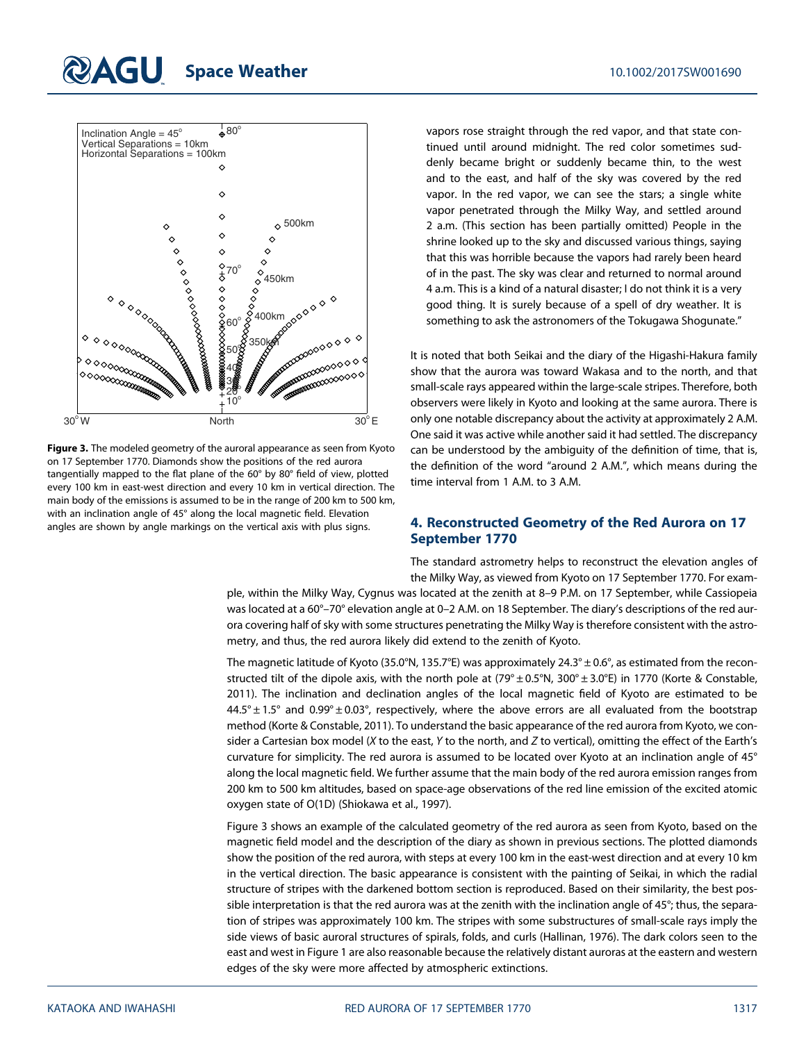# **RAGU Space Weather 10.1002/2017SW001690**



Figure 3. The modeled geometry of the auroral appearance as seen from Kyoto on 17 September 1770. Diamonds show the positions of the red aurora tangentially mapped to the flat plane of the 60° by 80° field of view, plotted every 100 km in east-west direction and every 10 km in vertical direction. The main body of the emissions is assumed to be in the range of 200 km to 500 km, with an inclination angle of 45° along the local magnetic field. Elevation angles are shown by angle markings on the vertical axis with plus signs.

vapors rose straight through the red vapor, and that state continued until around midnight. The red color sometimes suddenly became bright or suddenly became thin, to the west and to the east, and half of the sky was covered by the red vapor. In the red vapor, we can see the stars; a single white vapor penetrated through the Milky Way, and settled around 2 a.m. (This section has been partially omitted) People in the shrine looked up to the sky and discussed various things, saying that this was horrible because the vapors had rarely been heard of in the past. The sky was clear and returned to normal around 4 a.m. This is a kind of a natural disaster; I do not think it is a very good thing. It is surely because of a spell of dry weather. It is something to ask the astronomers of the Tokugawa Shogunate."

It is noted that both Seikai and the diary of the Higashi-Hakura family show that the aurora was toward Wakasa and to the north, and that small-scale rays appeared within the large-scale stripes. Therefore, both observers were likely in Kyoto and looking at the same aurora. There is only one notable discrepancy about the activity at approximately 2 A.M. One said it was active while another said it had settled. The discrepancy can be understood by the ambiguity of the definition of time, that is, the definition of the word "around 2 A.M.", which means during the time interval from 1 A.M. to 3 A.M.

## 4. Reconstructed Geometry of the Red Aurora on 17 September 1770

The standard astrometry helps to reconstruct the elevation angles of the Milky Way, as viewed from Kyoto on 17 September 1770. For exam-

ple, within the Milky Way, Cygnus was located at the zenith at 8–9 P.M. on 17 September, while Cassiopeia was located at a 60°–70° elevation angle at 0–2 A.M. on 18 September. The diary's descriptions of the red aurora covering half of sky with some structures penetrating the Milky Way is therefore consistent with the astrometry, and thus, the red aurora likely did extend to the zenith of Kyoto.

The magnetic latitude of Kyoto (35.0°N, 135.7°E) was approximately 24.3°  $\pm$  0.6°, as estimated from the reconstructed tilt of the dipole axis, with the north pole at (79°  $\pm$  0.5°N, 300°  $\pm$  3.0°E) in 1770 (Korte & Constable, 2011). The inclination and declination angles of the local magnetic field of Kyoto are estimated to be  $44.5^{\circ}$  ± 1.5° and  $0.99^{\circ}$  ± 0.03°, respectively, where the above errors are all evaluated from the bootstrap method (Korte & Constable, 2011). To understand the basic appearance of the red aurora from Kyoto, we consider a Cartesian box model (X to the east, Y to the north, and Z to vertical), omitting the effect of the Earth's curvature for simplicity. The red aurora is assumed to be located over Kyoto at an inclination angle of 45° along the local magnetic field. We further assume that the main body of the red aurora emission ranges from 200 km to 500 km altitudes, based on space-age observations of the red line emission of the excited atomic oxygen state of O(1D) (Shiokawa et al., 1997).

Figure 3 shows an example of the calculated geometry of the red aurora as seen from Kyoto, based on the magnetic field model and the description of the diary as shown in previous sections. The plotted diamonds show the position of the red aurora, with steps at every 100 km in the east-west direction and at every 10 km in the vertical direction. The basic appearance is consistent with the painting of Seikai, in which the radial structure of stripes with the darkened bottom section is reproduced. Based on their similarity, the best possible interpretation is that the red aurora was at the zenith with the inclination angle of 45°; thus, the separation of stripes was approximately 100 km. The stripes with some substructures of small-scale rays imply the side views of basic auroral structures of spirals, folds, and curls (Hallinan, 1976). The dark colors seen to the east and west in Figure 1 are also reasonable because the relatively distant auroras at the eastern and western edges of the sky were more affected by atmospheric extinctions.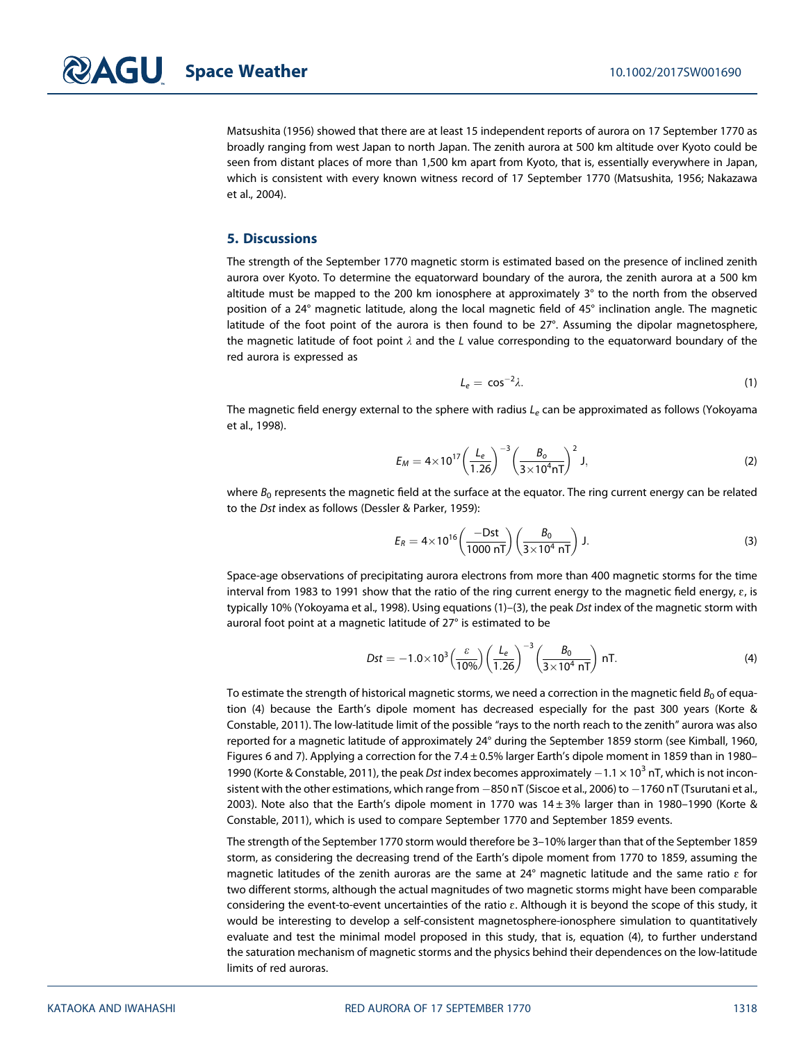Matsushita (1956) showed that there are at least 15 independent reports of aurora on 17 September 1770 as broadly ranging from west Japan to north Japan. The zenith aurora at 500 km altitude over Kyoto could be seen from distant places of more than 1,500 km apart from Kyoto, that is, essentially everywhere in Japan, which is consistent with every known witness record of 17 September 1770 (Matsushita, 1956; Nakazawa et al., 2004).

### 5. Discussions

The strength of the September 1770 magnetic storm is estimated based on the presence of inclined zenith aurora over Kyoto. To determine the equatorward boundary of the aurora, the zenith aurora at a 500 km altitude must be mapped to the 200 km ionosphere at approximately 3° to the north from the observed position of a 24° magnetic latitude, along the local magnetic field of 45° inclination angle. The magnetic latitude of the foot point of the aurora is then found to be 27°. Assuming the dipolar magnetosphere, the magnetic latitude of foot point  $\lambda$  and the L value corresponding to the equatorward boundary of the red aurora is expressed as

$$
L_e = \cos^{-2}\lambda. \tag{1}
$$

The magnetic field energy external to the sphere with radius  $L<sub>e</sub>$  can be approximated as follows (Yokoyama et al., 1998).

$$
E_M = 4 \times 10^{17} \left( \frac{L_e}{1.26} \right)^{-3} \left( \frac{B_o}{3 \times 10^4 \text{ nT}} \right)^2 \text{ J},\tag{2}
$$

where  $B_0$  represents the magnetic field at the surface at the equator. The ring current energy can be related to the Dst index as follows (Dessler & Parker, 1959):

$$
E_R = 4 \times 10^{16} \left( \frac{-Dst}{1000 \text{ nT}} \right) \left( \frac{B_0}{3 \times 10^4 \text{ nT}} \right) \text{ J.}
$$
 (3)

Space-age observations of precipitating aurora electrons from more than 400 magnetic storms for the time interval from 1983 to 1991 show that the ratio of the ring current energy to the magnetic field energy,  $\varepsilon$ , is typically 10% (Yokoyama et al., 1998). Using equations (1)–(3), the peak Dst index of the magnetic storm with auroral foot point at a magnetic latitude of 27° is estimated to be

$$
Dst = -1.0 \times 10^3 \left(\frac{\varepsilon}{10\%}\right) \left(\frac{L_e}{1.26}\right)^{-3} \left(\frac{B_0}{3 \times 10^4 \text{ nT}}\right) \text{ nT}.
$$
 (4)

To estimate the strength of historical magnetic storms, we need a correction in the magnetic field  $B_0$  of equation (4) because the Earth's dipole moment has decreased especially for the past 300 years (Korte & Constable, 2011). The low-latitude limit of the possible "rays to the north reach to the zenith" aurora was also reported for a magnetic latitude of approximately 24° during the September 1859 storm (see Kimball, 1960, Figures 6 and 7). Applying a correction for the 7.4 ± 0.5% larger Earth's dipole moment in 1859 than in 1980– 1990 (Korte & Constable, 2011), the peak Dst index becomes approximately  $-1.1 \times 10^3$  nT, which is not inconsistent with the other estimations, which range from  $-850$  nT (Siscoe et al., 2006) to  $-1760$  nT (Tsurutani et al., 2003). Note also that the Earth's dipole moment in 1770 was  $14 \pm 3\%$  larger than in 1980–1990 (Korte & Constable, 2011), which is used to compare September 1770 and September 1859 events.

The strength of the September 1770 storm would therefore be 3–10% larger than that of the September 1859 storm, as considering the decreasing trend of the Earth's dipole moment from 1770 to 1859, assuming the magnetic latitudes of the zenith auroras are the same at 24° magnetic latitude and the same ratio  $\varepsilon$  for two different storms, although the actual magnitudes of two magnetic storms might have been comparable considering the event-to-event uncertainties of the ratio ɛ. Although it is beyond the scope of this study, it would be interesting to develop a self-consistent magnetosphere-ionosphere simulation to quantitatively evaluate and test the minimal model proposed in this study, that is, equation (4), to further understand the saturation mechanism of magnetic storms and the physics behind their dependences on the low-latitude limits of red auroras.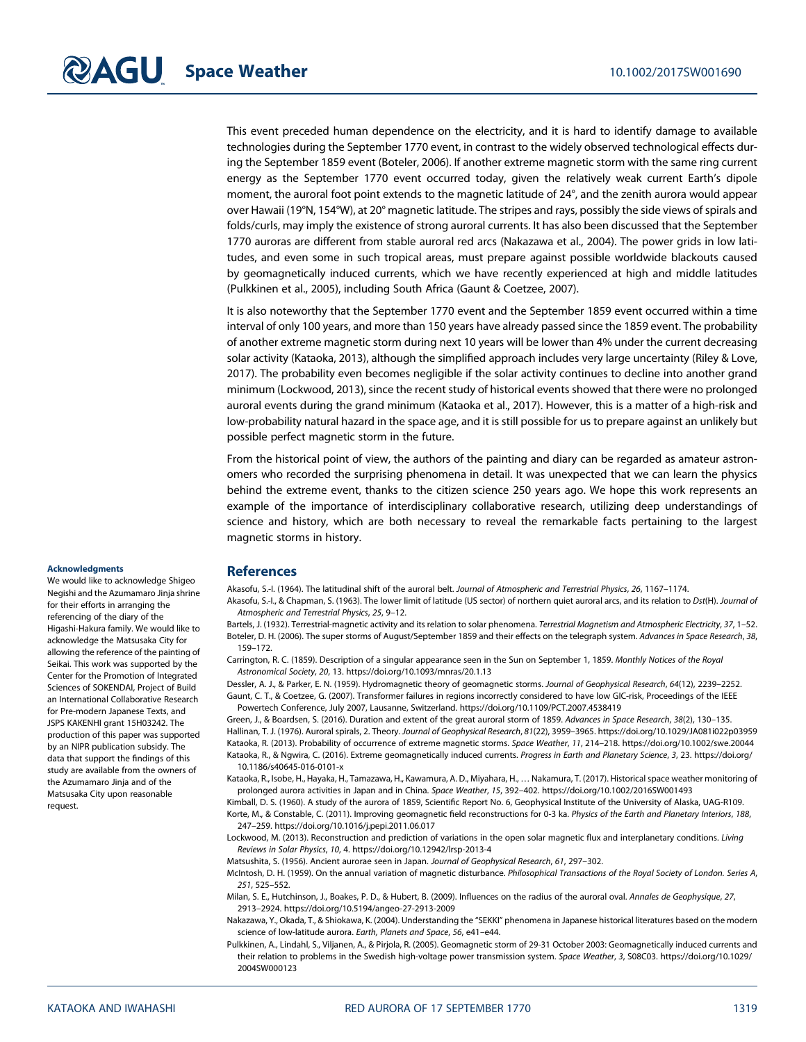This event preceded human dependence on the electricity, and it is hard to identify damage to available technologies during the September 1770 event, in contrast to the widely observed technological effects during the September 1859 event (Boteler, 2006). If another extreme magnetic storm with the same ring current energy as the September 1770 event occurred today, given the relatively weak current Earth's dipole moment, the auroral foot point extends to the magnetic latitude of 24°, and the zenith aurora would appear over Hawaii (19°N, 154°W), at 20° magnetic latitude. The stripes and rays, possibly the side views of spirals and folds/curls, may imply the existence of strong auroral currents. It has also been discussed that the September 1770 auroras are different from stable auroral red arcs (Nakazawa et al., 2004). The power grids in low latitudes, and even some in such tropical areas, must prepare against possible worldwide blackouts caused by geomagnetically induced currents, which we have recently experienced at high and middle latitudes (Pulkkinen et al., 2005), including South Africa (Gaunt & Coetzee, 2007).

It is also noteworthy that the September 1770 event and the September 1859 event occurred within a time interval of only 100 years, and more than 150 years have already passed since the 1859 event. The probability of another extreme magnetic storm during next 10 years will be lower than 4% under the current decreasing solar activity (Kataoka, 2013), although the simplified approach includes very large uncertainty (Riley & Love, 2017). The probability even becomes negligible if the solar activity continues to decline into another grand minimum (Lockwood, 2013), since the recent study of historical events showed that there were no prolonged auroral events during the grand minimum (Kataoka et al., 2017). However, this is a matter of a high-risk and low-probability natural hazard in the space age, and it is still possible for us to prepare against an unlikely but possible perfect magnetic storm in the future.

From the historical point of view, the authors of the painting and diary can be regarded as amateur astronomers who recorded the surprising phenomena in detail. It was unexpected that we can learn the physics behind the extreme event, thanks to the citizen science 250 years ago. We hope this work represents an example of the importance of interdisciplinary collaborative research, utilizing deep understandings of science and history, which are both necessary to reveal the remarkable facts pertaining to the largest magnetic storms in history.

#### **Acknowledaments**

We would like to acknowledge Shigeo Negishi and the Azumamaro Jinja shrine for their efforts in arranging the referencing of the diary of the Higashi-Hakura family. We would like to acknowledge the Matsusaka City for allowing the reference of the painting of Seikai. This work was supported by the Center for the Promotion of Integrated Sciences of SOKENDAI, Project of Build an International Collaborative Research for Pre-modern Japanese Texts, and JSPS KAKENHI grant 15H03242. The production of this paper was supported by an NIPR publication subsidy. The data that support the findings of this study are available from the owners of the Azumamaro Jinja and of the Matsusaka City upon reasonable request.

#### References

Akasofu, S.-I. (1964). The latitudinal shift of the auroral belt. Journal of Atmospheric and Terrestrial Physics, 26, 1167–1174.

Akasofu, S.-I., & Chapman, S. (1963). The lower limit of latitude (US sector) of northern quiet auroral arcs, and its relation to Dst(H). Journal of Atmospheric and Terrestrial Physics, 25, 9–12.

Bartels, J. (1932). Terrestrial-magnetic activity and its relation to solar phenomena. Terrestrial Magnetism and Atmospheric Electricity, 37, 1-52. Boteler, D. H. (2006). The super storms of August/September 1859 and their effects on the telegraph system. Advances in Space Research, 38, 159–172.

Carrington, R. C. (1859). Description of a singular appearance seen in the Sun on September 1, 1859. Monthly Notices of the Royal Astronomical Society, 20, 13.<https://doi.org/10.1093/mnras/20.1.13>

Dessler, A. J., & Parker, E. N. (1959). Hydromagnetic theory of geomagnetic storms. Journal of Geophysical Research, 64(12), 2239–2252. Gaunt, C. T., & Coetzee, G. (2007). Transformer failures in regions incorrectly considered to have low GIC-risk, Proceedings of the IEEE Powertech Conference, July 2007, Lausanne, Switzerland.<https://doi.org/10.1109/PCT.2007.4538419>

Green, J., & Boardsen, S. (2016). Duration and extent of the great auroral storm of 1859. Advances in Space Research, 38(2), 130–135. Hallinan, T. J. (1976). Auroral spirals, 2. Theory. Journal of Geophysical Research, 81(22), 3959–3965.<https://doi.org/10.1029/JA081i022p03959> Kataoka, R. (2013). Probability of occurrence of extreme magnetic storms. Space Weather, 11, 214–218.<https://doi.org/10.1002/swe.20044> Kataoka, R., & Ngwira, C. (2016). Extreme geomagnetically induced currents. Progress in Earth and Planetary Science, 3, 23. [https://doi.org/](https://doi.org/10.1186/s40645-016-0101-x) [10.1186/s40645-016-0101-x](https://doi.org/10.1186/s40645-016-0101-x)

Kataoka, R., Isobe, H., Hayaka, H., Tamazawa, H., Kawamura, A. D., Miyahara, H., … Nakamura, T. (2017). Historical space weather monitoring of prolonged aurora activities in Japan and in China. Space Weather, 15, 392–402.<https://doi.org/10.1002/2016SW001493>

Kimball, D. S. (1960). A study of the aurora of 1859, Scientific Report No. 6, Geophysical Institute of the University of Alaska, UAG-R109. Korte, M., & Constable, C. (2011). Improving geomagnetic field reconstructions for 0-3 ka. Physics of the Earth and Planetary Interiors, 188, 247–259.<https://doi.org/10.1016/j.pepi.2011.06.017>

Lockwood, M. (2013). Reconstruction and prediction of variations in the open solar magnetic flux and interplanetary conditions. Living Reviews in Solar Physics, 10, 4.<https://doi.org/10.12942/lrsp-2013-4>

Matsushita, S. (1956). Ancient aurorae seen in Japan. Journal of Geophysical Research, 61, 297–302.

McIntosh, D. H. (1959). On the annual variation of magnetic disturbance. Philosophical Transactions of the Royal Society of London. Series A, 251, 525–552.

Milan, S. E., Hutchinson, J., Boakes, P. D., & Hubert, B. (2009). Influences on the radius of the auroral oval. Annales de Geophysique, 27, 2913–2924.<https://doi.org/10.5194/angeo-27-2913-2009>

Nakazawa, Y., Okada, T., & Shiokawa, K. (2004). Understanding the "SEKKI" phenomena in Japanese historical literatures based on the modern science of low-latitude aurora. Earth, Planets and Space, 56, e41–e44.

Pulkkinen, A., Lindahl, S., Viljanen, A., & Pirjola, R. (2005). Geomagnetic storm of 29-31 October 2003: Geomagnetically induced currents and their relation to problems in the Swedish high-voltage power transmission system. Space Weather, 3, S08C03. [https://doi.org/10.1029/](https://doi.org/10.1029/2004SW000123) [2004SW000123](https://doi.org/10.1029/2004SW000123)